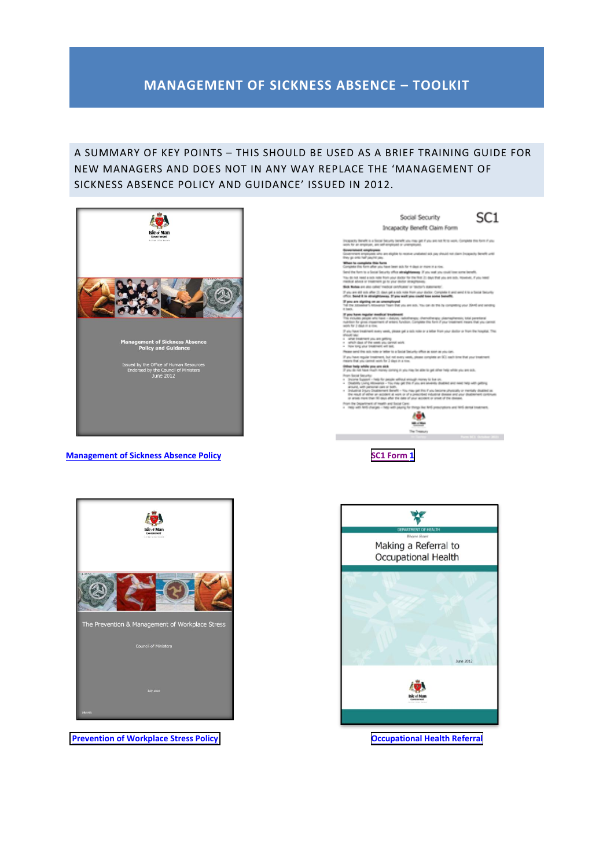## **MANAGEMENT OF SICKNESS ABSENCE – TOOLKIT**

#### A SUMMARY OF KEY POINTS – THIS SHOULD BE USED AS A BRIEF TRAINING GUIDE FOR NEW MANAGERS AND DOES NOT IN ANY WAY REPLACE THE 'MANAGEMENT OF SICKNESS ABSENCE POLICY AND GUIDANCE' ISSUED IN 2012.



**Management of Sickness Absence Policy [SC1 Form 1](https://www.gov.im/media/1345897/sc1-october-2021.pdf)** 





**[Prevention of Workplace Stress Policy](https://hr.gov.im/media/1019/prevention-and-management-of-workplace-stress.pdf) <b>CEC 2006 [Occupational Health Referral](https://hr.gov.im/media/1022/occupation-health-guide-to-making-a-referral.pdf)** 

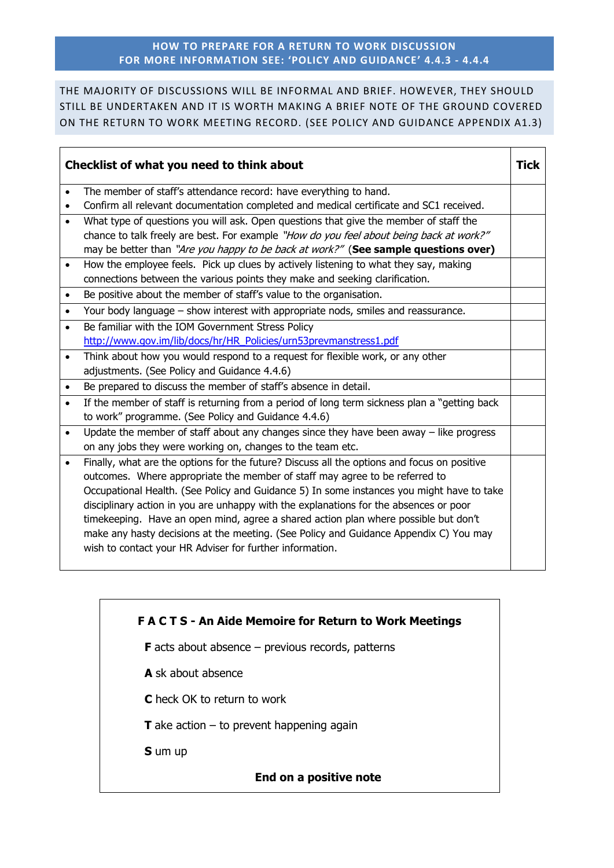#### **HOW TO PREPARE FOR A RETURN TO WORK DISCUSSION FOR MORE INFORMATION SEE: 'POLICY AND GUIDANCE' 4.4.3 - 4.4.4**

THE MAJORITY OF DISCUSSIONS WILL BE INFORMAL AND BRIEF. HOWEVER, THEY SHOULD STILL BE UNDERTAKEN AND IT IS WORTH MAKING A BRIEF NOTE OF THE GROUND COVERED ON THE RETURN TO WORK MEETING RECORD. (SEE POLICY AND GUIDANCE APPENDIX A1.3)

| Checklist of what you need to think about |                                                                                              | Tick |
|-------------------------------------------|----------------------------------------------------------------------------------------------|------|
| $\bullet$                                 | The member of staff's attendance record: have everything to hand.                            |      |
| $\bullet$                                 | Confirm all relevant documentation completed and medical certificate and SC1 received.       |      |
| $\bullet$                                 | What type of questions you will ask. Open questions that give the member of staff the        |      |
|                                           | chance to talk freely are best. For example "How do you feel about being back at work?"      |      |
|                                           | may be better than "Are you happy to be back at work?" (See sample questions over)           |      |
| $\bullet$                                 | How the employee feels. Pick up clues by actively listening to what they say, making         |      |
|                                           | connections between the various points they make and seeking clarification.                  |      |
| $\bullet$                                 | Be positive about the member of staff's value to the organisation.                           |      |
| $\bullet$                                 | Your body language - show interest with appropriate nods, smiles and reassurance.            |      |
| $\bullet$                                 | Be familiar with the IOM Government Stress Policy                                            |      |
|                                           | http://www.gov.im/lib/docs/hr/HR_Policies/urn53prevmanstress1.pdf                            |      |
| $\bullet$                                 | Think about how you would respond to a request for flexible work, or any other               |      |
|                                           | adjustments. (See Policy and Guidance 4.4.6)                                                 |      |
| $\bullet$                                 | Be prepared to discuss the member of staff's absence in detail.                              |      |
| $\bullet$                                 | If the member of staff is returning from a period of long term sickness plan a "getting back |      |
|                                           | to work" programme. (See Policy and Guidance 4.4.6)                                          |      |
| $\bullet$                                 | Update the member of staff about any changes since they have been away $-$ like progress     |      |
|                                           | on any jobs they were working on, changes to the team etc.                                   |      |
| $\bullet$                                 | Finally, what are the options for the future? Discuss all the options and focus on positive  |      |
|                                           | outcomes. Where appropriate the member of staff may agree to be referred to                  |      |
|                                           | Occupational Health. (See Policy and Guidance 5) In some instances you might have to take    |      |
|                                           | disciplinary action in you are unhappy with the explanations for the absences or poor        |      |
|                                           | timekeeping. Have an open mind, agree a shared action plan where possible but don't          |      |
|                                           | make any hasty decisions at the meeting. (See Policy and Guidance Appendix C) You may        |      |
|                                           | wish to contact your HR Adviser for further information.                                     |      |
|                                           |                                                                                              |      |

# **F A C T S - An Aide Memoire for Return to Work Meetings**

**F** acts about absence – previous records, patterns

- **A** sk about absence
- **C** heck OK to return to work
- **T** ake action  $-$  to prevent happening again

**S** um up

#### **End on a positive note**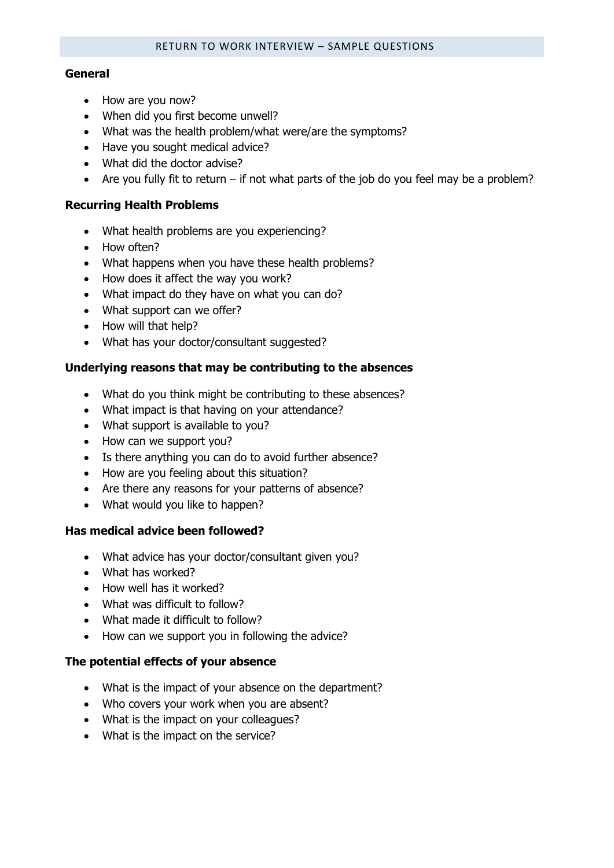#### **General**

- How are you now?
- When did you first become unwell?
- What was the health problem/what were/are the symptoms?
- Have you sought medical advice?
- What did the doctor advise?
- Are you fully fit to return if not what parts of the job do you feel may be a problem?

#### **Recurring Health Problems**

- What health problems are you experiencing?
- How often?
- What happens when you have these health problems?
- How does it affect the way you work?
- What impact do they have on what you can do?
- What support can we offer?
- How will that help?
- What has your doctor/consultant suggested?

#### **Underlying reasons that may be contributing to the absences**

- What do you think might be contributing to these absences?
- What impact is that having on your attendance?
- What support is available to you?
- How can we support you?
- Is there anything you can do to avoid further absence?
- How are you feeling about this situation?
- Are there any reasons for your patterns of absence?
- What would you like to happen?

#### **Has medical advice been followed?**

- What advice has your doctor/consultant given you?
- What has worked?
- How well has it worked?
- What was difficult to follow?
- What made it difficult to follow?
- How can we support you in following the advice?

#### **The potential effects of your absence**

- What is the impact of your absence on the department?
- Who covers your work when you are absent?
- What is the impact on your colleagues?
- What is the impact on the service?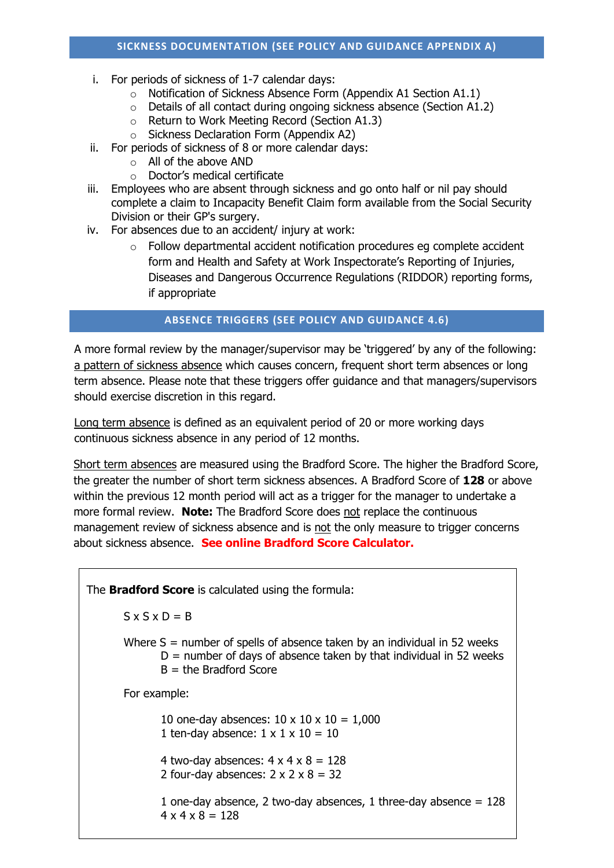- i. For periods of sickness of 1-7 calendar days:
	- o Notification of Sickness Absence Form (Appendix A1 Section A1.1)
	- o Details of all contact during ongoing sickness absence (Section A1.2)
	- o Return to Work Meeting Record (Section A1.3)
	- o Sickness Declaration Form (Appendix A2)
- ii. For periods of sickness of 8 or more calendar days:
	- o All of the above AND
	- o Doctor's medical certificate
- iii. Employees who are absent through sickness and go onto half or nil pay should complete a claim to Incapacity Benefit Claim form available from the Social Security Division or their GP's surgery.
- iv. For absences due to an accident/ injury at work:
	- $\circ$  Follow departmental accident notification procedures eg complete accident form and Health and Safety at Work Inspectorate's Reporting of Injuries, Diseases and Dangerous Occurrence Regulations (RIDDOR) reporting forms, if appropriate

### **ABSENCE TRIGGERS (SEE POLICY AND GUIDANCE 4.6)**

A more formal review by the manager/supervisor may be 'triggered' by any of the following: a pattern of sickness absence which causes concern, frequent short term absences or long term absence. Please note that these triggers offer guidance and that managers/supervisors should exercise discretion in this regard.

Long term absence is defined as an equivalent period of 20 or more working days continuous sickness absence in any period of 12 months.

Short term absences are measured using the Bradford Score. The higher the Bradford Score, the greater the number of short term sickness absences. A Bradford Score of **128** or above within the previous 12 month period will act as a trigger for the manager to undertake a more formal review. **Note:** The Bradford Score does not replace the continuous management review of sickness absence and is not the only measure to trigger concerns about sickness absence. **See online Bradford Score Calculator.**

The **Bradford Score** is calculated using the formula:  $S \times S \times D = B$ Where S = number of spells of absence taken by an individual in 52 weeks  $D =$  number of days of absence taken by that individual in 52 weeks  $B =$  the Bradford Score For example: 10 one-day absences:  $10 \times 10 \times 10 = 1,000$ 1 ten-day absence:  $1 \times 1 \times 10 = 10$ 4 two-day absences:  $4 \times 4 \times 8 = 128$ 2 four-day absences:  $2 \times 2 \times 8 = 32$ 1 one-day absence, 2 two-day absences, 1 three-day absence  $= 128$  $4 \times 4 \times 8 = 128$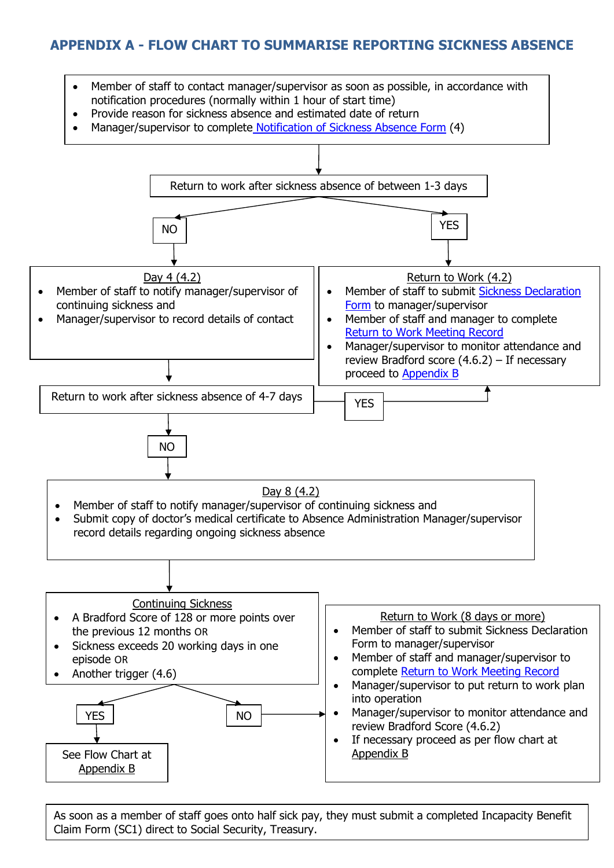## **APPENDIX A - FLOW CHART TO SUMMARISE REPORTING SICKNESS ABSENCE**



As soon as a member of staff goes onto half sick pay, they must submit a completed Incapacity Benefit Claim Form (SC1) direct to Social Security, Treasury.